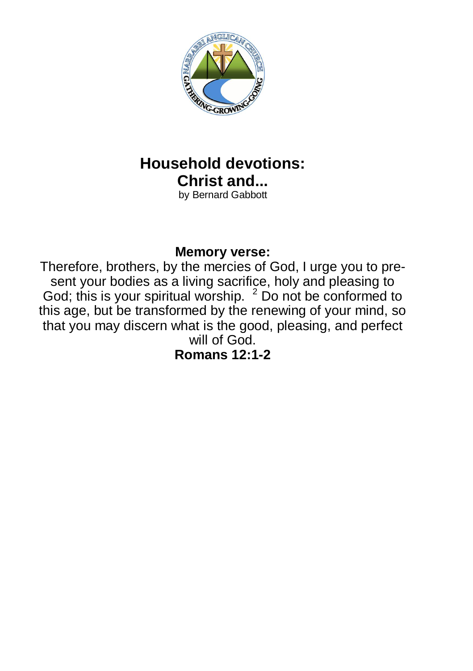

# **Household devotions: Christ and...**

by Bernard Gabbott

#### **Memory verse:**

Therefore, brothers, by the mercies of God, I urge you to present your bodies as a living sacrifice, holy and pleasing to God; this is your spiritual worship.  $2$  Do not be conformed to this age, but be transformed by the renewing of your mind, so that you may discern what is the good, pleasing, and perfect will of God.

**Romans 12:1-2**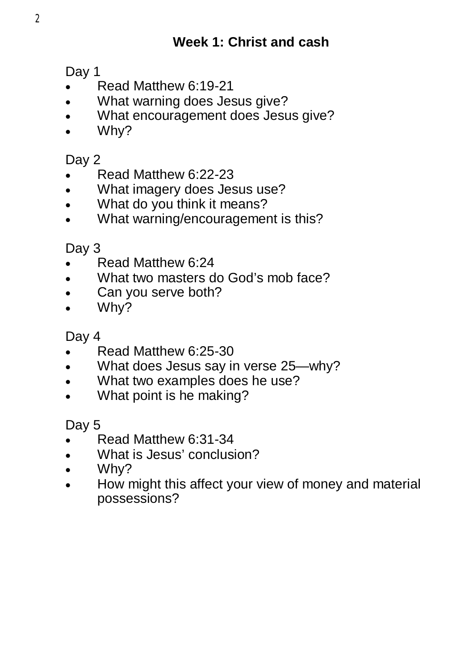## **Week 1: Christ and cash**

Day 1

- Read Matthew 6:19-21
- What warning does Jesus give?
- What encouragement does Jesus give?
- Why?

#### Day 2

- Read Matthew 6:22-23
- What imagery does Jesus use?
- What do you think it means?
- What warning/encouragement is this?

Day 3

- Read Matthew 6:24
- What two masters do God's mob face?
- Can you serve both?
- Why?

Day 4

- Read Matthew 6:25-30
- What does Jesus say in verse 25—why?
- What two examples does he use?
- What point is he making?

Day 5

- Read Matthew 6:31-34
- What is Jesus' conclusion?
- Why?
- How might this affect your view of money and material possessions?